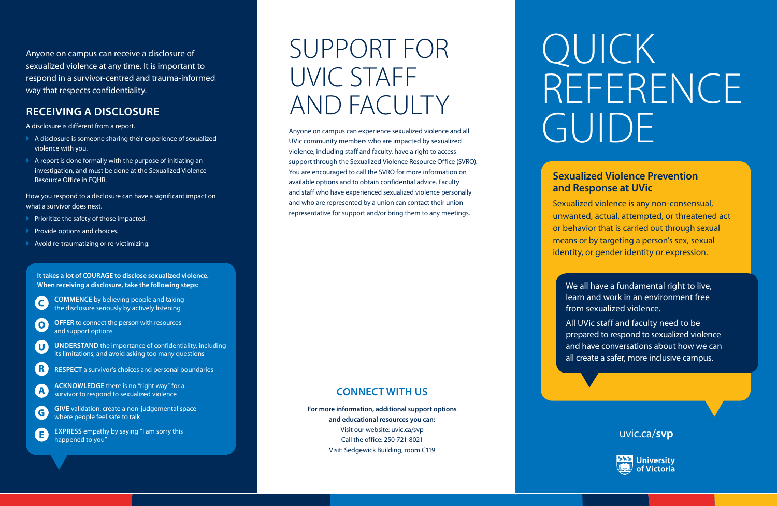### SUPPORT FOR UVIC STAFF AND FACULTY

Anyone on campus can experience sexualized violence and all UVic community members who are impacted by sexualized violence, including staff and faculty, have a right to access support through the Sexualized Violence Resource Office (SVRO). You are encouraged to call the SVRO for more information on available options and to obtain confidential advice. Faculty and staff who have experienced sexualized violence personally and who are represented by a union can contact their union representative for support and/or bring them to any meetings.

- $\blacktriangleright$  A disclosure is someone sharing their experience of sexualized violence with you.
- $\blacktriangleright$  A report is done formally with the purpose of initiating an investigation, and must be done at the Sexualized Violence Resource Office in EQHR.

- $\blacktriangleright$  Prioritize the safety of those impacted.
- Provide options and choices.
- ` Avoid re-traumatizing or re-victimizing.

Anyone on campus can receive a disclosure of sexualized violence at any time. It is important to respond in a survivor-centred and trauma-informed way that respects confidentiality.

- **OFFER** to connect the person with resources  $\bullet$ and support options
- **UNDERSTAND** the importance of confidentiality, including U its limitations, and avoid asking too many questions
	- **RESPECT** a survivor's choices and personal boundaries
- A

 $\mathbf{E}$ 

 $R$ 

#### **RECEIVING A DISCLOSURE**

A disclosure is different from a report.

How you respond to a disclosure can have a significant impact on what a survivor does next.

uvic.ca/**svp**



**It takes a lot of COURAGE to disclose sexualized violence. When receiving a disclosure, take the following steps:**

 $\overline{\mathsf{C}}$ 

**COMMENCE** by believing people and taking the disclosure seriously by actively listening

- **ACKNOWLEDGE** there is no "right way" for a survivor to respond to sexualized violence
- **GIVE** validation: create a non-judgemental space G where people feel safe to talk

**EXPRESS** empathy by saying "I am sorry this happened to you"

#### **CONNECT WITH US**

**For more information, additional support options and educational resources you can:**  Visit our website: uvic.ca/svp Call the office: 250-721-8021 Visit: Sedgewick Building, room C119

# QUICK REFERENCE GUIDE

#### **Sexualized Violence Prevention and Response at UVic**

Sexualized violence is any non-consensual, unwanted, actual, attempted, or threatened act or behavior that is carried out through sexual means or by targeting a person's sex, sexual identity, or gender identity or expression.

We all have a fundamental right to live, learn and work in an environment free from sexualized violence.

All UVic staff and faculty need to be prepared to respond to sexualized violence and have conversations about how we can all create a safer, more inclusive campus.